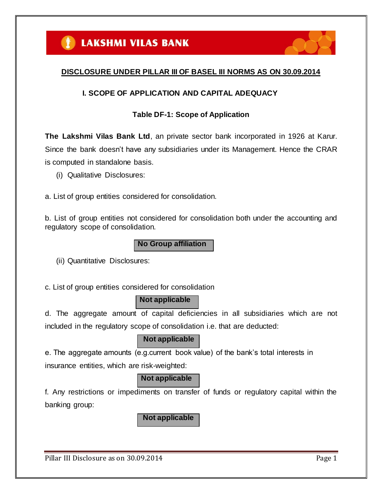

# **DISCLOSURE UNDER PILLAR III OF BASEL III NORMS AS ON 30.09.2014**

# **I. SCOPE OF APPLICATION AND CAPITAL ADEQUACY**

# **Table DF-1: Scope of Application**

**The Lakshmi Vilas Bank Ltd**, an private sector bank incorporated in 1926 at Karur. Since the bank doesn"t have any subsidiaries under its Management. Hence the CRAR is computed in standalone basis.

(i) Qualitative Disclosures:

a. List of group entities considered for consolidation.

b. List of group entities not considered for consolidation both under the accounting and regulatory scope of consolidation.

**No Group affiliation**

(ii) Quantitative Disclosures:

c. List of group entities considered for consolidation

# **Not applicable**

d. The aggregate amount of capital deficiencies in all subsidiaries which are not included in the regulatory scope of consolidation i.e. that are deducted:

# **Not applicable**

e. The aggregate amounts (e.g.current book value) of the bank"s total interests in insurance entities, which are risk-weighted:

# **Not applicable**

f. Any restrictions or impediments on transfer of funds or regulatory capital within the banking group:

**Not applicable**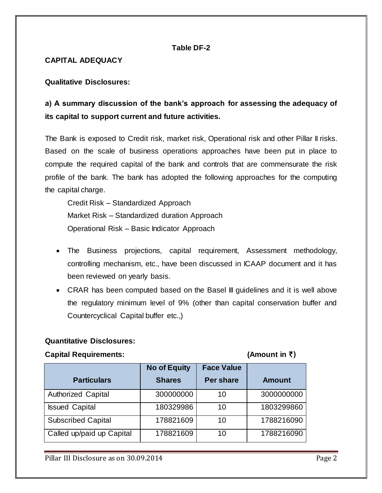## **Table DF-2**

#### **CAPITAL ADEQUACY**

#### **Qualitative Disclosures:**

# **a) A summary discussion of the bank's approach for assessing the adequacy of its capital to support current and future activities.**

The Bank is exposed to Credit risk, market risk, Operational risk and other Pillar II risks. Based on the scale of business operations approaches have been put in place to compute the required capital of the bank and controls that are commensurate the risk profile of the bank. The bank has adopted the following approaches for the computing the capital charge.

Credit Risk – Standardized Approach Market Risk – Standardized duration Approach Operational Risk – Basic Indicator Approach

- The Business projections, capital requirement, Assessment methodology, controlling mechanism, etc., have been discussed in ICAAP document and it has been reviewed on yearly basis.
- CRAR has been computed based on the Basel III guidelines and it is well above the regulatory minimum level of 9% (other than capital conservation buffer and Countercyclical Capital buffer etc.,)

#### **Quantitative Disclosures:**

#### **Capital Requirements: (Amount in** `)

|                           | <b>No of Equity</b> | <b>Face Value</b> |               |
|---------------------------|---------------------|-------------------|---------------|
| <b>Particulars</b>        | <b>Shares</b>       | <b>Per share</b>  | <b>Amount</b> |
| <b>Authorized Capital</b> | 300000000           | 10                | 3000000000    |
| <b>Issued Capital</b>     | 180329986           | 10                | 1803299860    |
| <b>Subscribed Capital</b> | 178821609           | 10                | 1788216090    |
| Called up/paid up Capital | 178821609           | 10                | 1788216090    |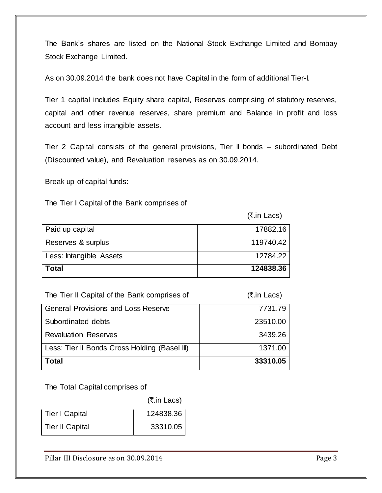The Bank"s shares are listed on the National Stock Exchange Limited and Bombay Stock Exchange Limited.

As on 30.09.2014 the bank does not have Capital in the form of additional Tier-I.

Tier 1 capital includes Equity share capital, Reserves comprising of statutory reserves, capital and other revenue reserves, share premium and Balance in profit and loss account and less intangible assets.

Tier 2 Capital consists of the general provisions, Tier II bonds – subordinated Debt (Discounted value), and Revaluation reserves as on 30.09.2014.

Break up of capital funds:

The Tier I Capital of the Bank comprises of

(₹.in Lacs)

| Paid up capital         | 17882.16  |
|-------------------------|-----------|
| Reserves & surplus      | 119740.42 |
| Less: Intangible Assets | 12784.22  |
| Total                   | 124838.36 |

| The Tier II Capital of the Bank comprises of  | (₹.in Lacs) |
|-----------------------------------------------|-------------|
| <b>General Provisions and Loss Reserve</b>    | 7731.79     |
| Subordinated debts                            | 23510.00    |
| <b>Revaluation Reserves</b>                   | 3439.26     |
| Less: Tier II Bonds Cross Holding (Basel III) | 1371.00     |
| <b>Total</b>                                  | 33310.05    |

The Total Capital comprises of

(₹.in Lacs)

| <b>Tier I Capital</b>  | 124838.36 |
|------------------------|-----------|
| <b>Tier II Capital</b> | 33310.05  |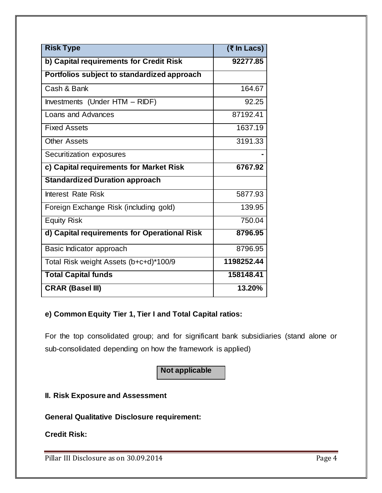| <b>Risk Type</b>                             | $($ ₹ In Lacs) |
|----------------------------------------------|----------------|
| b) Capital requirements for Credit Risk      | 92277.85       |
| Portfolios subject to standardized approach  |                |
| Cash & Bank                                  | 164.67         |
| Investments (Under HTM - RIDF)               | 92.25          |
| Loans and Advances                           | 87192.41       |
| <b>Fixed Assets</b>                          | 1637.19        |
| <b>Other Assets</b>                          | 3191.33        |
| Securitization exposures                     |                |
| c) Capital requirements for Market Risk      | 6767.92        |
| <b>Standardized Duration approach</b>        |                |
| <b>Interest Rate Risk</b>                    | 5877.93        |
| Foreign Exchange Risk (including gold)       | 139.95         |
| <b>Equity Risk</b>                           | 750.04         |
| d) Capital requirements for Operational Risk | 8796.95        |
| Basic Indicator approach                     | 8796.95        |
| Total Risk weight Assets (b+c+d)*100/9       | 1198252.44     |
| <b>Total Capital funds</b>                   | 158148.41      |
| <b>CRAR (Basel III)</b>                      | 13.20%         |

# **e) Common Equity Tier 1, Tier I and Total Capital ratios:**

For the top consolidated group; and for significant bank subsidiaries (stand alone or sub-consolidated depending on how the framework is applied)

# **Not applicable**

# **II. Risk Exposure and Assessment**

**General Qualitative Disclosure requirement:**

**Credit Risk:**

Pillar III Disclosure as on 30.09.2014 Pillar III Disclosure as on 30.09.2014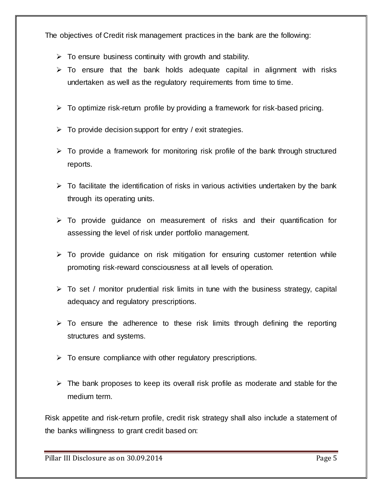The objectives of Credit risk management practices in the bank are the following:

- $\triangleright$  To ensure business continuity with growth and stability.
- $\triangleright$  To ensure that the bank holds adequate capital in alignment with risks undertaken as well as the regulatory requirements from time to time.
- $\triangleright$  To optimize risk-return profile by providing a framework for risk-based pricing.
- $\triangleright$  To provide decision support for entry / exit strategies.
- $\triangleright$  To provide a framework for monitoring risk profile of the bank through structured reports.
- $\triangleright$  To facilitate the identification of risks in various activities undertaken by the bank through its operating units.
- $\triangleright$  To provide guidance on measurement of risks and their quantification for assessing the level of risk under portfolio management.
- $\triangleright$  To provide guidance on risk mitigation for ensuring customer retention while promoting risk-reward consciousness at all levels of operation.
- $\triangleright$  To set / monitor prudential risk limits in tune with the business strategy, capital adequacy and regulatory prescriptions.
- $\triangleright$  To ensure the adherence to these risk limits through defining the reporting structures and systems.
- $\triangleright$  To ensure compliance with other regulatory prescriptions.
- $\triangleright$  The bank proposes to keep its overall risk profile as moderate and stable for the medium term.

Risk appetite and risk-return profile, credit risk strategy shall also include a statement of the banks willingness to grant credit based on: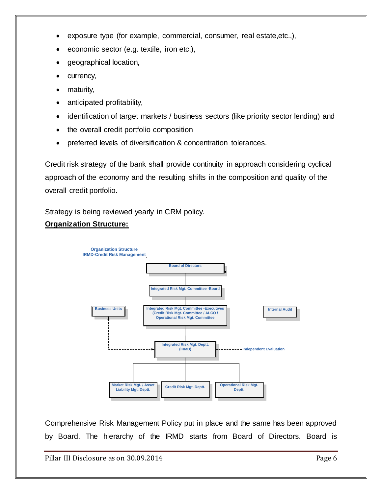- exposure type (for example, commercial, consumer, real estate,etc.,),
- economic sector (e.g. textile, iron etc.),
- geographical location,
- currency,
- maturity,
- anticipated profitability,
- identification of target markets / business sectors (like priority sector lending) and
- the overall credit portfolio composition
- preferred levels of diversification & concentration tolerances.

Credit risk strategy of the bank shall provide continuity in approach considering cyclical approach of the economy and the resulting shifts in the composition and quality of the overall credit portfolio.

Strategy is being reviewed yearly in CRM policy.

# **Organization Structure:**



Comprehensive Risk Management Policy put in place and the same has been approved by Board. The hierarchy of the IRMD starts from Board of Directors. Board is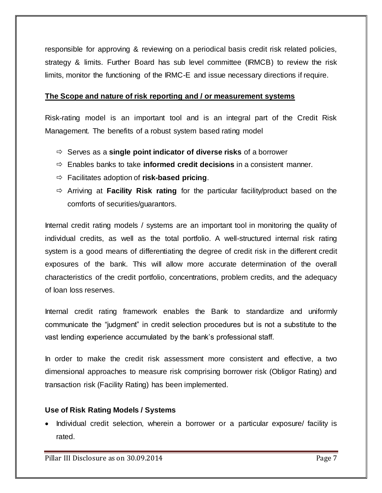responsible for approving & reviewing on a periodical basis credit risk related policies, strategy & limits. Further Board has sub level committee (IRMCB) to review the risk limits, monitor the functioning of the IRMC-E and issue necessary directions if require.

#### **The Scope and nature of risk reporting and / or measurement systems**

Risk-rating model is an important tool and is an integral part of the Credit Risk Management. The benefits of a robust system based rating model

- Serves as a **single point indicator of diverse risks** of a borrower
- Enables banks to take **informed credit decisions** in a consistent manner.
- Facilitates adoption of **risk-based pricing**.
- Arriving at **Facility Risk rating** for the particular facility/product based on the comforts of securities/guarantors.

Internal credit rating models / systems are an important tool in monitoring the quality of individual credits, as well as the total portfolio. A well-structured internal risk rating system is a good means of differentiating the degree of credit risk in the different credit exposures of the bank. This will allow more accurate determination of the overall characteristics of the credit portfolio, concentrations, problem credits, and the adequacy of loan loss reserves.

Internal credit rating framework enables the Bank to standardize and uniformly communicate the "judgment" in credit selection procedures but is not a substitute to the vast lending experience accumulated by the bank"s professional staff.

In order to make the credit risk assessment more consistent and effective, a two dimensional approaches to measure risk comprising borrower risk (Obligor Rating) and transaction risk (Facility Rating) has been implemented.

# **Use of Risk Rating Models / Systems**

• Individual credit selection, wherein a borrower or a particular exposure/ facility is rated.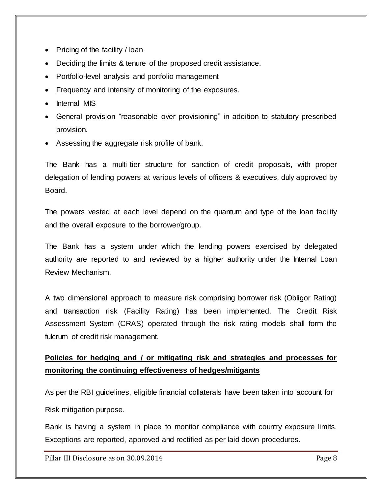- Pricing of the facility  $\ell$  loan
- Deciding the limits & tenure of the proposed credit assistance.
- Portfolio-level analysis and portfolio management
- Frequency and intensity of monitoring of the exposures.
- Internal MIS
- General provision "reasonable over provisioning" in addition to statutory prescribed provision.
- Assessing the aggregate risk profile of bank.

The Bank has a multi-tier structure for sanction of credit proposals, with proper delegation of lending powers at various levels of officers & executives, duly approved by Board.

The powers vested at each level depend on the quantum and type of the loan facility and the overall exposure to the borrower/group.

The Bank has a system under which the lending powers exercised by delegated authority are reported to and reviewed by a higher authority under the Internal Loan Review Mechanism.

A two dimensional approach to measure risk comprising borrower risk (Obligor Rating) and transaction risk (Facility Rating) has been implemented. The Credit Risk Assessment System (CRAS) operated through the risk rating models shall form the fulcrum of credit risk management.

# **Policies for hedging and / or mitigating risk and strategies and processes for monitoring the continuing effectiveness of hedges/mitigants**

As per the RBI guidelines, eligible financial collaterals have been taken into account for Risk mitigation purpose.

Bank is having a system in place to monitor compliance with country exposure limits. Exceptions are reported, approved and rectified as per laid down procedures.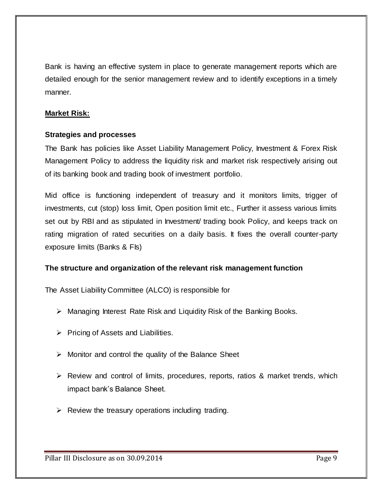Bank is having an effective system in place to generate management reports which are detailed enough for the senior management review and to identify exceptions in a timely manner.

### **Market Risk:**

#### **Strategies and processes**

The Bank has policies like Asset Liability Management Policy, Investment & Forex Risk Management Policy to address the liquidity risk and market risk respectively arising out of its banking book and trading book of investment portfolio.

Mid office is functioning independent of treasury and it monitors limits, trigger of investments, cut (stop) loss limit, Open position limit etc., Further it assess various limits set out by RBI and as stipulated in Investment/ trading book Policy, and keeps track on rating migration of rated securities on a daily basis. It fixes the overall counter-party exposure limits (Banks & FIs)

#### **The structure and organization of the relevant risk management function**

The Asset Liability Committee (ALCO) is responsible for

- $\triangleright$  Managing Interest Rate Risk and Liquidity Risk of the Banking Books.
- $\triangleright$  Pricing of Assets and Liabilities.
- $\triangleright$  Monitor and control the quality of the Balance Sheet
- $\triangleright$  Review and control of limits, procedures, reports, ratios & market trends, which impact bank"s Balance Sheet.
- $\triangleright$  Review the treasury operations including trading.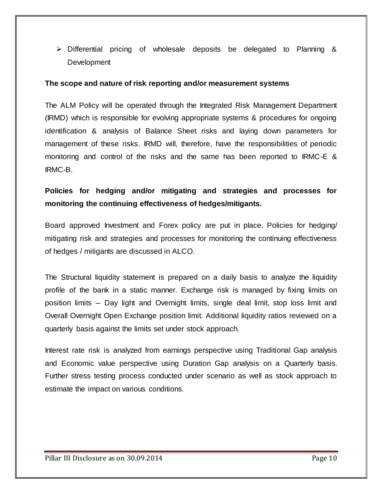$\triangleright$  Differential pricing of wholesale deposits be delegated to Planning & **Development** 

#### **The scope and nature of risk reporting and/or measurement systems**

The ALM Policy will be operated through the Integrated Risk Management Department (IRMD) which is responsible for evolving appropriate systems & procedures for ongoing identification & analysis of Balance Sheet risks and laying down parameters for management of these risks. IRMD will, therefore, have the responsibilities of periodic monitoring and control of the risks and the same has been reported to IRMC-E & IRMC-B.

# **Policies for hedging and/or mitigating and strategies and processes for monitoring the continuing effectiveness of hedges/mitigants.**

Board approved Investment and Forex policy are put in place. Policies for hedging/ mitigating risk and strategies and processes for monitoring the continuing effectiveness of hedges / mitigants are discussed in ALCO.

The Structural liquidity statement is prepared on a daily basis to analyze the liquidity profile of the bank in a static manner. Exchange risk is managed by fixing limits on position limits – Day light and Overnight limits, single deal limit, stop loss limit and Overall Overnight Open Exchange position limit. Additional liquidity ratios reviewed on a quarterly basis against the limits set under stock approach.

Interest rate risk is analyzed from earnings perspective using Traditional Gap analysis and Economic value perspective using Duration Gap analysis on a Quarterly basis. Further stress testing process conducted under scenario as well as stock approach to estimate the impact on various conditions.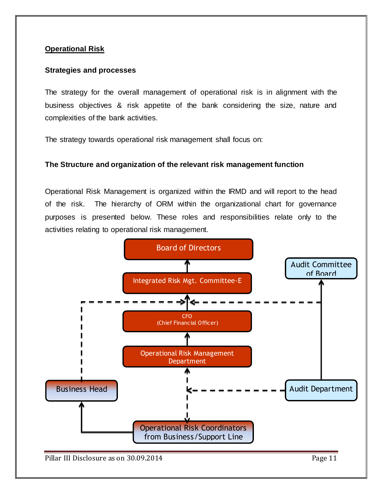## **Operational Risk**

#### **Strategies and processes**

The strategy for the overall management of operational risk is in alignment with the business objectives & risk appetite of the bank considering the size, nature and complexities of the bank activities.

The strategy towards operational risk management shall focus on:

#### **The Structure and organization of the relevant risk management function**

Operational Risk Management is organized within the IRMD and will report to the head of the risk. The hierarchy of ORM within the organizational chart for governance purposes is presented below. These roles and responsibilities relate only to the activities relating to operational risk management.

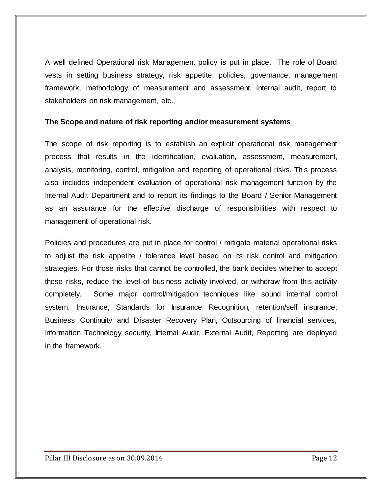A well defined Operational risk Management policy is put in place. The role of Board vests in setting business strategy, risk appetite, policies, governance, management framework, methodology of measurement and assessment, internal audit, report to stakeholders on risk management, etc.,

#### **The Scope and nature of risk reporting and/or measurement systems**

The scope of risk reporting is to establish an explicit operational risk management process that results in the identification, evaluation, assessment, measurement, analysis, monitoring, control, mitigation and reporting of operational risks. This process also includes independent evaluation of operational risk management function by the Internal Audit Department and to report its findings to the Board / Senior Management as an assurance for the effective discharge of responsibilities with respect to management of operational risk.

Policies and procedures are put in place for control / mitigate material operational risks to adjust the risk appetite / tolerance level based on its risk control and mitigation strategies. For those risks that cannot be controlled, the bank decides whether to accept these risks, reduce the level of business activity involved, or withdraw from this activity completely. Some major control/mitigation techniques like sound internal control system, Insurance, Standards for Insurance Recognition, retention/self insurance, Business Continuity and Disaster Recovery Plan, Outsourcing of financial services, Information Technology security, Internal Audit, External Audit, Reporting are deployed in the framework.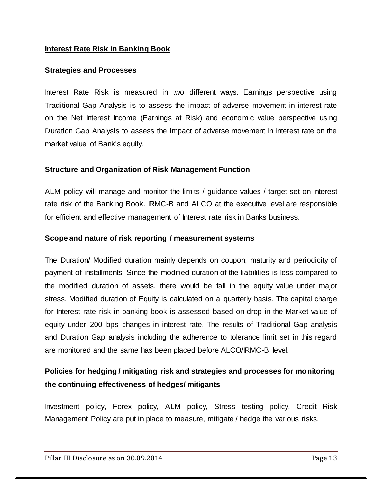### **Interest Rate Risk in Banking Book**

#### **Strategies and Processes**

Interest Rate Risk is measured in two different ways. Earnings perspective using Traditional Gap Analysis is to assess the impact of adverse movement in interest rate on the Net Interest Income (Earnings at Risk) and economic value perspective using Duration Gap Analysis to assess the impact of adverse movement in interest rate on the market value of Bank's equity.

#### **Structure and Organization of Risk Management Function**

ALM policy will manage and monitor the limits / guidance values / target set on interest rate risk of the Banking Book. IRMC-B and ALCO at the executive level are responsible for efficient and effective management of Interest rate risk in Banks business.

#### **Scope and nature of risk reporting / measurement systems**

The Duration/ Modified duration mainly depends on coupon, maturity and periodicity of payment of installments. Since the modified duration of the liabilities is less compared to the modified duration of assets, there would be fall in the equity value under major stress. Modified duration of Equity is calculated on a quarterly basis. The capital charge for Interest rate risk in banking book is assessed based on drop in the Market value of equity under 200 bps changes in interest rate. The results of Traditional Gap analysis and Duration Gap analysis including the adherence to tolerance limit set in this regard are monitored and the same has been placed before ALCO/IRMC-B level.

# **Policies for hedging / mitigating risk and strategies and processes for monitoring the continuing effectiveness of hedges/ mitigants**

Investment policy, Forex policy, ALM policy, Stress testing policy, Credit Risk Management Policy are put in place to measure, mitigate / hedge the various risks.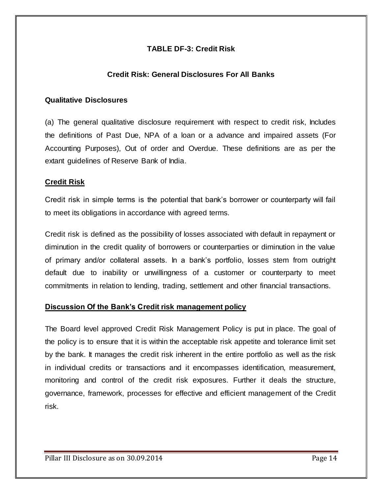# **TABLE DF-3: Credit Risk**

# **Credit Risk: General Disclosures For All Banks**

#### **Qualitative Disclosures**

(a) The general qualitative disclosure requirement with respect to credit risk, Includes the definitions of Past Due, NPA of a loan or a advance and impaired assets (For Accounting Purposes), Out of order and Overdue. These definitions are as per the extant guidelines of Reserve Bank of India.

### **Credit Risk**

Credit risk in simple terms is the potential that bank"s borrower or counterparty will fail to meet its obligations in accordance with agreed terms.

Credit risk is defined as the possibility of losses associated with default in repayment or diminution in the credit quality of borrowers or counterparties or diminution in the value of primary and/or collateral assets. In a bank"s portfolio, losses stem from outright default due to inability or unwillingness of a customer or counterparty to meet commitments in relation to lending, trading, settlement and other financial transactions.

#### **Discussion Of the Bank's Credit risk management policy**

The Board level approved Credit Risk Management Policy is put in place. The goal of the policy is to ensure that it is within the acceptable risk appetite and tolerance limit set by the bank. It manages the credit risk inherent in the entire portfolio as well as the risk in individual credits or transactions and it encompasses identification, measurement, monitoring and control of the credit risk exposures. Further it deals the structure, governance, framework, processes for effective and efficient management of the Credit risk.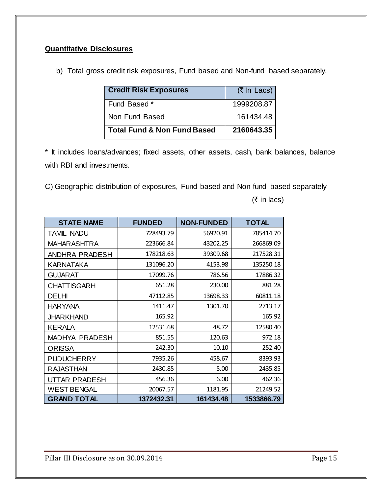# **Quantitative Disclosures**

b) Total gross credit risk exposures, Fund based and Non-fund based separately.

| <b>Credit Risk Exposures</b>           | $(5 \text{ ln}$ Lacs) |
|----------------------------------------|-----------------------|
| Fund Based *                           | 1999208.87            |
| Non Fund Based                         | 161434.48             |
| <b>Total Fund &amp; Non Fund Based</b> | 2160643.35            |

\* It includes loans/advances; fixed assets, other assets, cash, bank balances, balance with RBI and investments.

C) Geographic distribution of exposures, Fund based and Non-fund based separately

 $($ ₹ in lacs)

| <b>STATE NAME</b>     | <b>FUNDED</b> | <b>NON-FUNDED</b> | <b>TOTAL</b> |
|-----------------------|---------------|-------------------|--------------|
| <b>TAMIL NADU</b>     | 728493.79     | 56920.91          | 785414.70    |
| MAHARASHTRA           | 223666.84     | 43202.25          | 266869.09    |
| ANDHRA PRADESH        | 178218.63     | 39309.68          | 217528.31    |
| KARNATAKA             | 131096.20     | 4153.98           | 135250.18    |
| <b>GUJARAT</b>        | 17099.76      | 786.56            | 17886.32     |
| <b>CHATTISGARH</b>    | 651.28        | 230.00            | 881.28       |
| <b>DELHI</b>          | 47112.85      | 13698.33          | 60811.18     |
| <b>HARYANA</b>        | 1411.47       | 1301.70           | 2713.17      |
| <b>JHARKHAND</b>      | 165.92        |                   | 165.92       |
| <b>KERALA</b>         | 12531.68      | 48.72             | 12580.40     |
| <b>MADHYA PRADESH</b> | 851.55        | 120.63            | 972.18       |
| <b>ORISSA</b>         | 242.30        | 10.10             | 252.40       |
| <b>PUDUCHERRY</b>     | 7935.26       | 458.67            | 8393.93      |
| <b>RAJASTHAN</b>      | 2430.85       | 5.00              | 2435.85      |
| UTTAR PRADESH         | 456.36        | 6.00              | 462.36       |
| <b>WEST BENGAL</b>    | 20067.57      | 1181.95           | 21249.52     |
| <b>GRAND TOTAL</b>    | 1372432.31    | 161434.48         | 1533866.79   |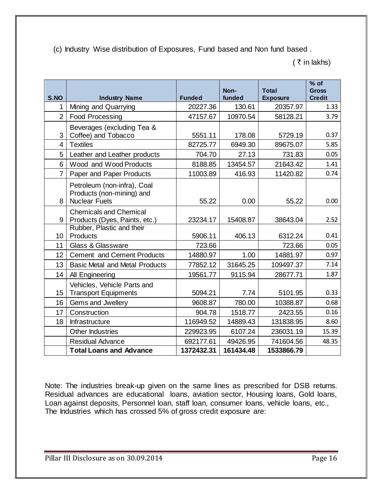(c) Industry Wise distribution of Exposures, Fund based and Non fund based .

 $($   $\bar{z}$  in lakhs)

|                |                                                   |               | Non-      | <b>Total</b>    | $%$ of<br><b>Gross</b> |
|----------------|---------------------------------------------------|---------------|-----------|-----------------|------------------------|
| S.NO           | <b>Industry Name</b>                              | <b>Funded</b> | funded    | <b>Exposure</b> | <b>Credit</b>          |
| 1              | Mining and Quarrying                              | 20227.36      | 130.61    | 20357.97        | 1.33                   |
| $\overline{2}$ | <b>Food Processing</b>                            | 47157.67      | 10970.54  | 58128.21        | 3.79                   |
|                | Beverages (excluding Tea &                        |               |           |                 |                        |
| 3              | Coffee) and Tobacco                               | 5551.11       | 178.08    | 5729.19         | 0.37                   |
| 4              | <b>Textiles</b>                                   | 82725.77      | 6949.30   | 89675.07        | 5.85                   |
| 5              | Leather and Leather products                      | 704.70        | 27.13     | 731.83          | 0.05                   |
| 6              | Wood and Wood Products                            | 8188.85       | 13454.57  | 21643.42        | 1.41                   |
| $\overline{7}$ | Paper and Paper Products                          | 11003.89      | 416.93    | 11420.82        | 0.74                   |
|                | Petroleum (non-infra), Coal                       |               |           |                 |                        |
| 8              | Products (non-mining) and<br><b>Nuclear Fuels</b> | 55.22         | 0.00      | 55.22           | 0.00                   |
|                | <b>Chemicals and Chemical</b>                     |               |           |                 |                        |
| 9              | Products (Dyes, Paints, etc.)                     | 23234.17      | 15408.87  | 38643.04        | 2.52                   |
|                | Rubber, Plastic and their                         |               |           |                 |                        |
| 10             | Products                                          | 5906.11       | 406.13    | 6312.24         | 0.41                   |
| 11             | <b>Glass &amp; Glassware</b>                      | 723.66        |           | 723.66          | 0.05                   |
| 12             | <b>Cement and Cement Products</b>                 | 14880.97      | 1.00      | 14881.97        | 0.97                   |
| 13             | <b>Basic Metal and Metal Products</b>             | 77852.12      | 31645.25  | 109497.37       | 7.14                   |
| 14             | All Engineering                                   | 19561.77      | 9115.94   | 28677.71        | 1.87                   |
|                | Vehicles, Vehicle Parts and                       |               |           |                 |                        |
| 15             | <b>Transport Equipments</b>                       | 5094.21       | 7.74      | 5101.95         | 0.33                   |
| 16             | Gems and Jwellery                                 | 9608.87       | 780.00    | 10388.87        | 0.68                   |
| 17             | Construction                                      | 904.78        | 1518.77   | 2423.55         | 0.16                   |
| 18             | Infrastructure                                    | 116949.52     | 14889.43  | 131838.95       | 8.60                   |
|                | <b>Other Industries</b>                           | 229923.95     | 6107.24   | 236031.19       | 15.39                  |
|                | <b>Residual Advance</b>                           | 692177.61     | 49426.95  | 741604.56       | 48.35                  |
|                | <b>Total Loans and Advance</b>                    | 1372432.31    | 161434.48 | 1533866.79      |                        |

Note: The industries break-up given on the same lines as prescribed for DSB returns. Residual advances are educational loans, aviation sector, Housing loans, Gold loans, Loan against deposits, Personnel loan, staff loan, consumer loans, vehicle loans, etc., The Industries which has crossed 5% of gross credit exposure are: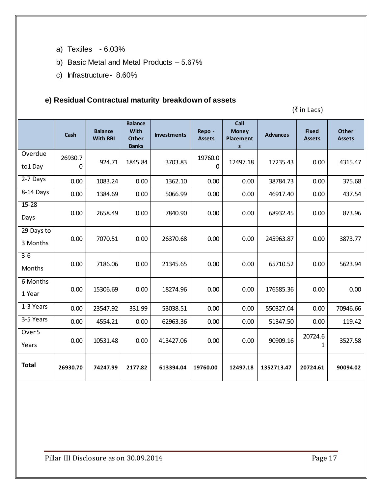- a) Textiles 6.03%
- b) Basic Metal and Metal Products 5.67%
- c) Infrastructure- 8.60%

# **e) Residual Contractual maturity breakdown of assets**

 $(\bar{\bar{\mathbf{z}}}$  in Lacs)

|                            | Cash         | <b>Balance</b><br><b>With RBI</b> | <b>Balance</b><br><b>With</b><br><b>Other</b><br><b>Banks</b> | <b>Investments</b> | Repo -<br><b>Assets</b> | Call<br><b>Money</b><br>Placement<br>s | <b>Advances</b> | <b>Fixed</b><br><b>Assets</b> | <b>Other</b><br><b>Assets</b> |
|----------------------------|--------------|-----------------------------------|---------------------------------------------------------------|--------------------|-------------------------|----------------------------------------|-----------------|-------------------------------|-------------------------------|
| Overdue<br>to1 Day         | 26930.7<br>0 | 924.71                            | 1845.84                                                       | 3703.83            | 19760.0<br>0            | 12497.18                               | 17235.43        | 0.00                          | 4315.47                       |
| 2-7 Days                   | 0.00         | 1083.24                           | 0.00                                                          | 1362.10            | 0.00                    | 0.00                                   | 38784.73        | 0.00                          | 375.68                        |
| 8-14 Days                  | 0.00         | 1384.69                           | 0.00                                                          | 5066.99            | 0.00                    | 0.00                                   | 46917.40        | 0.00                          | 437.54                        |
| $15 - 28$<br>Days          | 0.00         | 2658.49                           | 0.00                                                          | 7840.90            | 0.00                    | 0.00                                   | 68932.45        | 0.00                          | 873.96                        |
| 29 Days to<br>3 Months     | 0.00         | 7070.51                           | 0.00                                                          | 26370.68           | 0.00                    | 0.00                                   | 245963.87       | 0.00                          | 3873.77                       |
| $3-6$<br>Months            | 0.00         | 7186.06                           | 0.00                                                          | 21345.65           | 0.00                    | 0.00                                   | 65710.52        | 0.00                          | 5623.94                       |
| 6 Months-<br>1 Year        | 0.00         | 15306.69                          | 0.00                                                          | 18274.96           | 0.00                    | 0.00                                   | 176585.36       | 0.00                          | 0.00                          |
| 1-3 Years                  | 0.00         | 23547.92                          | 331.99                                                        | 53038.51           | 0.00                    | 0.00                                   | 550327.04       | 0.00                          | 70946.66                      |
| 3-5 Years                  | 0.00         | 4554.21                           | 0.00                                                          | 62963.36           | 0.00                    | 0.00                                   | 51347.50        | 0.00                          | 119.42                        |
| Over <sub>5</sub><br>Years | 0.00         | 10531.48                          | 0.00                                                          | 413427.06          | 0.00                    | 0.00                                   | 90909.16        | 20724.6<br>1                  | 3527.58                       |
| <b>Total</b>               | 26930.70     | 74247.99                          | 2177.82                                                       | 613394.04          | 19760.00                | 12497.18                               | 1352713.47      | 20724.61                      | 90094.02                      |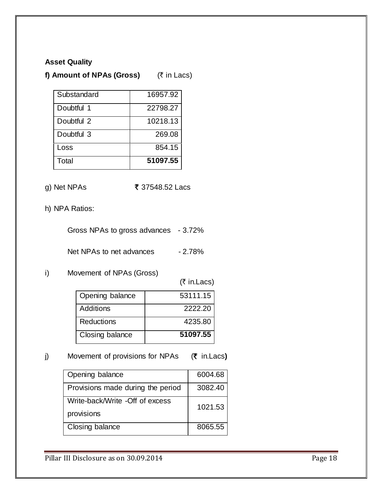#### **Asset Quality**

# **f) Amount of NPAs (Gross)** ( $\bar{\tau}$  in Lacs)

| Substandard | 16957.92 |
|-------------|----------|
| Doubtful 1  | 22798.27 |
| Doubtful 2  | 10218.13 |
| Doubtful 3  | 269.08   |
| Loss        | 854.15   |
| Total       | 51097.55 |

- g) Net NPAs **₹** 37548.52 Lacs
- h) NPA Ratios:

Gross NPAs to gross advances - 3.72%

Net NPAs to net advances - 2.78%

i) Movement of NPAs (Gross)

 $($ ₹ in.Lacs)

| Opening balance | 53111.15 |
|-----------------|----------|
| Additions       | 2222.20  |
| Reductions      | 4235.80  |
| Closing balance | 51097.55 |

j) Movement of provisions for NPAs (₹ in.Lacs)

| Opening balance                   | 6004.68 |
|-----------------------------------|---------|
| Provisions made during the period | 3082.40 |
| Write-back/Write -Off of excess   | 1021.53 |
| provisions                        |         |
| Closing balance                   | 8065.55 |

Pillar III Disclosure as on 30.09.2014 Pillar III Disclosure as on 30.09.2014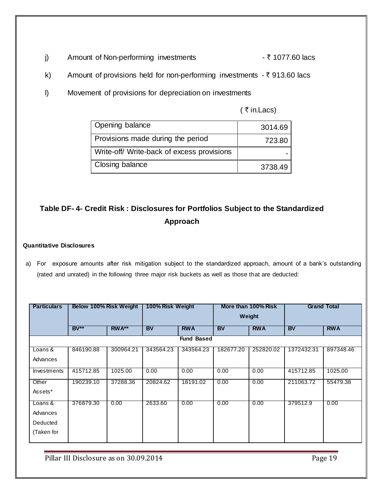- j) Amount of Non-performing investments  $\overline{\zeta}$  1077.60 lacs
- k) Amount of provisions held for non-performing investments  $-\bar{\tau}$  913.60 lacs
- l) Movement of provisions for depreciation on investments

( $\bar{\tau}$  in.Lacs)

| Opening balance                            | 3014.69 |
|--------------------------------------------|---------|
| Provisions made during the period          | 723.80  |
| Write-off/ Write-back of excess provisions |         |
| Closing balance                            | 3738.49 |

# **Table DF- 4- Credit Risk : Disclosures for Portfolios Subject to the Standardized Approach**

#### **Quantitative Disclosures**

a) For exposure amounts after risk mitigation subject to the standardized approach, amount of a bank"s outstanding (rated and unrated) in the following three major risk buckets as well as those that are deducted:

| <b>Particulars</b> | Below 100% Risk Weight |           | 100% Risk Weight |                   | More than 100% Risk |            |            | <b>Grand Total</b> |
|--------------------|------------------------|-----------|------------------|-------------------|---------------------|------------|------------|--------------------|
|                    |                        |           |                  |                   |                     | Weight     |            |                    |
|                    | $BV**$                 | $RWA**$   | <b>BV</b>        | <b>RWA</b>        | <b>BV</b>           | <b>RWA</b> | <b>BV</b>  | <b>RWA</b>         |
|                    |                        |           |                  | <b>Fund Based</b> |                     |            |            |                    |
| Loans $\&$         | 846190.88              | 300964.21 | 343564.23        | 343564.23         | 182677.20           | 252820.02  | 1372432.31 | 897348.46          |
| Advances           |                        |           |                  |                   |                     |            |            |                    |
| Investments        | 415712.85              | 1025.00   | 0.00             | 0.00              | 0.00                | 0.00       | 415712.85  | 1025.00            |
| Other              | 190239.10              | 37288.36  | 20824.62         | 18191.02          | 0.00                | 0.00       | 211063.72  | 55479.38           |
| Assets*            |                        |           |                  |                   |                     |            |            |                    |
| Loans &            | 376879.30              | 0.00      | 2633.60          | 0.00              | 0.00                | 0.00       | 379512.9   | 0.00               |
| Advances           |                        |           |                  |                   |                     |            |            |                    |
| Deducted           |                        |           |                  |                   |                     |            |            |                    |
| (Taken for         |                        |           |                  |                   |                     |            |            |                    |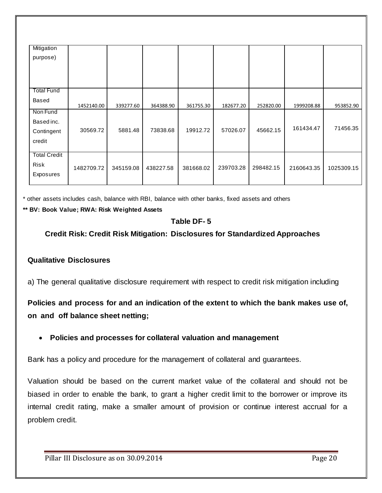| Mitigation          |            |           |           |           |           |           |            |            |
|---------------------|------------|-----------|-----------|-----------|-----------|-----------|------------|------------|
| purpose)            |            |           |           |           |           |           |            |            |
|                     |            |           |           |           |           |           |            |            |
|                     |            |           |           |           |           |           |            |            |
|                     |            |           |           |           |           |           |            |            |
| <b>Total Fund</b>   |            |           |           |           |           |           |            |            |
| Based               |            |           |           |           |           |           |            |            |
|                     | 1452140.00 | 339277.60 | 364388.90 | 361755.30 | 182677.20 | 252820.00 | 1999208.88 | 953852.90  |
| Non Fund            |            |           |           |           |           |           |            |            |
| Based inc.          |            |           |           |           |           |           |            |            |
| Contingent          | 30569.72   | 5881.48   | 73838.68  | 19912.72  | 57026.07  | 45662.15  | 161434.47  | 71456.35   |
| credit              |            |           |           |           |           |           |            |            |
|                     |            |           |           |           |           |           |            |            |
| <b>Total Credit</b> |            |           |           |           |           |           |            |            |
| Risk                |            |           |           |           |           | 298482.15 |            |            |
| Exposures           | 1482709.72 | 345159.08 | 438227.58 | 381668.02 | 239703.28 |           | 2160643.35 | 1025309.15 |
|                     |            |           |           |           |           |           |            |            |

\* other assets includes cash, balance with RBI, balance with other banks, fixed assets and others

#### **\*\* BV: Book Value; RWA: Risk Weighted Assets**

# **Table DF- 5**

**Credit Risk: Credit Risk Mitigation: Disclosures for Standardized Approaches** 

#### **Qualitative Disclosures**

a) The general qualitative disclosure requirement with respect to credit risk mitigation including

**Policies and process for and an indication of the extent to which the bank makes use of, on and off balance sheet netting;**

#### **Policies and processes for collateral valuation and management**

Bank has a policy and procedure for the management of collateral and guarantees.

Valuation should be based on the current market value of the collateral and should not be biased in order to enable the bank, to grant a higher credit limit to the borrower or improve its internal credit rating, make a smaller amount of provision or continue interest accrual for a problem credit.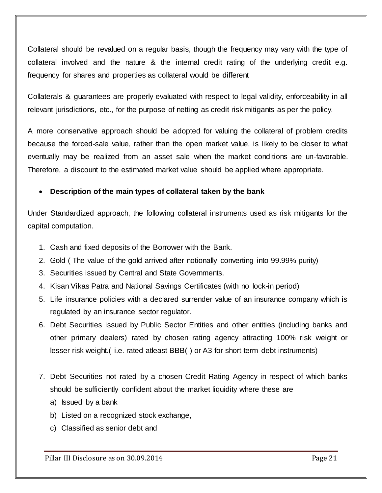Collateral should be revalued on a regular basis, though the frequency may vary with the type of collateral involved and the nature & the internal credit rating of the underlying credit e.g. frequency for shares and properties as collateral would be different

Collaterals & guarantees are properly evaluated with respect to legal validity, enforceability in all relevant jurisdictions, etc., for the purpose of netting as credit risk mitigants as per the policy.

A more conservative approach should be adopted for valuing the collateral of problem credits because the forced-sale value, rather than the open market value, is likely to be closer to what eventually may be realized from an asset sale when the market conditions are un-favorable. Therefore, a discount to the estimated market value should be applied where appropriate.

# **Description of the main types of collateral taken by the bank**

Under Standardized approach, the following collateral instruments used as risk mitigants for the capital computation.

- 1. Cash and fixed deposits of the Borrower with the Bank.
- 2. Gold ( The value of the gold arrived after notionally converting into 99.99% purity)
- 3. Securities issued by Central and State Governments.
- 4. Kisan Vikas Patra and National Savings Certificates (with no lock-in period)
- 5. Life insurance policies with a declared surrender value of an insurance company which is regulated by an insurance sector regulator.
- 6. Debt Securities issued by Public Sector Entities and other entities (including banks and other primary dealers) rated by chosen rating agency attracting 100% risk weight or lesser risk weight.( i.e. rated atleast BBB(-) or A3 for short-term debt instruments)
- 7. Debt Securities not rated by a chosen Credit Rating Agency in respect of which banks should be sufficiently confident about the market liquidity where these are
	- a) Issued by a bank
	- b) Listed on a recognized stock exchange,
	- c) Classified as senior debt and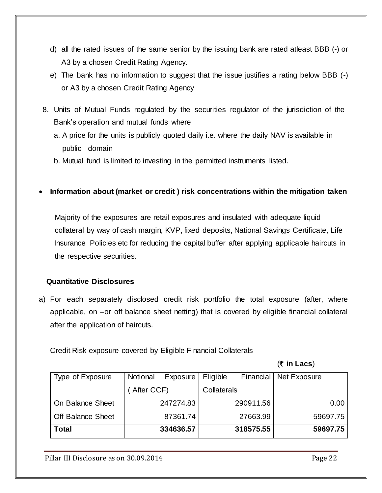- d) all the rated issues of the same senior by the issuing bank are rated atleast BBB (-) or A3 by a chosen Credit Rating Agency.
- e) The bank has no information to suggest that the issue justifies a rating below BBB (-) or A3 by a chosen Credit Rating Agency
- 8. Units of Mutual Funds regulated by the securities regulator of the jurisdiction of the Bank"s operation and mutual funds where
	- a. A price for the units is publicly quoted daily i.e. where the daily NAV is available in public domain
	- b. Mutual fund is limited to investing in the permitted instruments listed.
- **Information about (market or credit ) risk concentrations within the mitigation taken**

 Majority of the exposures are retail exposures and insulated with adequate liquid collateral by way of cash margin, KVP, fixed deposits, National Savings Certificate, Life Insurance Policies etc for reducing the capital buffer after applying applicable haircuts in the respective securities.

# **Quantitative Disclosures**

a) For each separately disclosed credit risk portfolio the total exposure (after, where applicable, on –or off balance sheet netting) that is covered by eligible financial collateral after the application of haircuts.

Credit Risk exposure covered by Eligible Financial Collaterals

(` **in Lacs**)

| Type of Exposure         | Notional   | Exposure  | Eligible    | Financial | Net Exposure |      |
|--------------------------|------------|-----------|-------------|-----------|--------------|------|
|                          | After CCF) |           | Collaterals |           |              |      |
| On Balance Sheet         |            | 247274.83 |             | 290911.56 |              | 0.00 |
| <b>Off Balance Sheet</b> |            | 87361.74  |             | 27663.99  | 59697.75     |      |
| <b>Total</b>             |            | 334636.57 |             | 318575.55 | 59697.75     |      |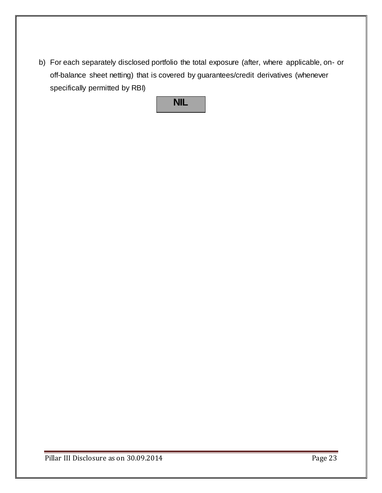b) For each separately disclosed portfolio the total exposure (after, where applicable, on- or off-balance sheet netting) that is covered by guarantees/credit derivatives (whenever specifically permitted by RBI)

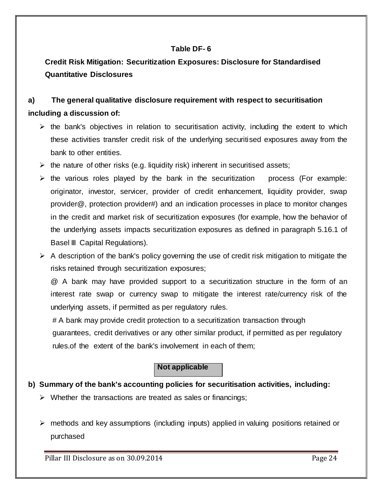## **Table DF- 6**

**Credit Risk Mitigation: Securitization Exposures: Disclosure for Standardised Quantitative Disclosures**

# **a) The general qualitative disclosure requirement with respect to securitisation including a discussion of:**

- $\triangleright$  the bank's objectives in relation to securitisation activity, including the extent to which these activities transfer credit risk of the underlying securitised exposures away from the bank to other entities.
- $\triangleright$  the nature of other risks (e.g. liquidity risk) inherent in securitised assets;
- $\triangleright$  the various roles played by the bank in the securitization process (For example: originator, investor, servicer, provider of credit enhancement, liquidity provider, swap provider@, protection provider#) and an indication processes in place to monitor changes in the credit and market risk of securitization exposures (for example, how the behavior of the underlying assets impacts securitization exposures as defined in paragraph 5.16.1 of Basel III Capital Regulations).
- $\triangleright$  A description of the bank's policy governing the use of credit risk mitigation to mitigate the risks retained through securitization exposures;

@ A bank may have provided support to a securitization structure in the form of an interest rate swap or currency swap to mitigate the interest rate/currency risk of the underlying assets, if permitted as per regulatory rules.

 # A bank may provide credit protection to a securitization transaction through guarantees, credit derivatives or any other similar product, if permitted as per regulatory rules.of the extent of the bank's involvement in each of them;

# **Not applicable**

# **b) Summary of the bank's accounting policies for securitisation activities, including:**

- $\triangleright$  Whether the transactions are treated as sales or financings;
- $\triangleright$  methods and key assumptions (including inputs) applied in valuing positions retained or purchased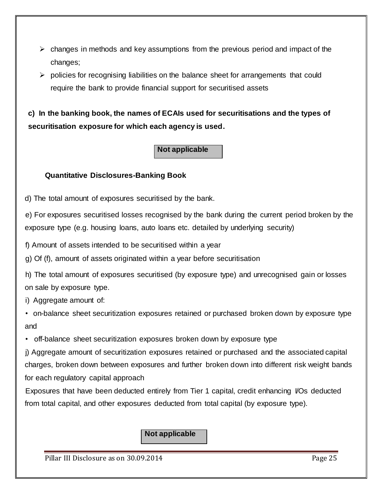- $\triangleright$  changes in methods and key assumptions from the previous period and impact of the changes;
- $\triangleright$  policies for recognising liabilities on the balance sheet for arrangements that could require the bank to provide financial support for securitised assets

**c) In the banking book, the names of ECAIs used for securitisations and the types of securitisation exposure for which each agency is used.**

# **Not applicable**

### **Quantitative Disclosures-Banking Book**

d) The total amount of exposures securitised by the bank.

e) For exposures securitised losses recognised by the bank during the current period broken by the exposure type (e.g. housing loans, auto loans etc. detailed by underlying security)

f) Amount of assets intended to be securitised within a year

g) Of (f), amount of assets originated within a year before securitisation

h) The total amount of exposures securitised (by exposure type) and unrecognised gain or losses on sale by exposure type.

i) Aggregate amount of:

• on-balance sheet securitization exposures retained or purchased broken down by exposure type and

• off-balance sheet securitization exposures broken down by exposure type

j) Aggregate amount of securitization exposures retained or purchased and the associated capital charges, broken down between exposures and further broken down into different risk weight bands for each regulatory capital approach

Exposures that have been deducted entirely from Tier 1 capital, credit enhancing I/Os deducted from total capital, and other exposures deducted from total capital (by exposure type).

**Not applicable**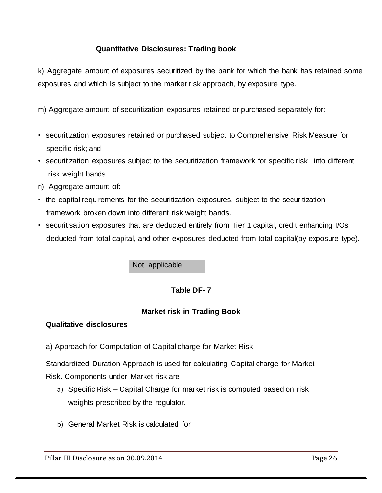# **Quantitative Disclosures: Trading book**

k) Aggregate amount of exposures securitized by the bank for which the bank has retained some exposures and which is subject to the market risk approach, by exposure type.

m) Aggregate amount of securitization exposures retained or purchased separately for:

- securitization exposures retained or purchased subject to Comprehensive Risk Measure for specific risk; and
- securitization exposures subject to the securitization framework for specific risk into different risk weight bands.
- n) Aggregate amount of:
- the capital requirements for the securitization exposures, subject to the securitization framework broken down into different risk weight bands.
- securitisation exposures that are deducted entirely from Tier 1 capital, credit enhancing VOs deducted from total capital, and other exposures deducted from total capital(by exposure type).

Not applicable

# **Table DF- 7**

# **Market risk in Trading Book**

# **Qualitative disclosures**

a) Approach for Computation of Capital charge for Market Risk

Standardized Duration Approach is used for calculating Capital charge for Market Risk. Components under Market risk are

- a) Specific Risk Capital Charge for market risk is computed based on risk weights prescribed by the regulator.
- b) General Market Risk is calculated for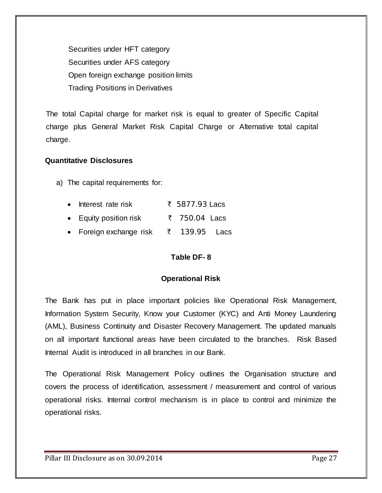Securities under HFT category Securities under AFS category Open foreign exchange position limits Trading Positions in Derivatives

The total Capital charge for market risk is equal to greater of Specific Capital charge plus General Market Risk Capital Charge or Alternative total capital charge.

#### **Quantitative Disclosures**

a) The capital requirements for:

| $\bullet$ | Interest rate risk      | ₹ 5877.93 Lacs |  |
|-----------|-------------------------|----------------|--|
|           | • Equity position risk  | ₹ 750.04 Lacs  |  |
|           | • Foreign exchange risk | ₹ 139.95 Lacs  |  |

#### **Table DF- 8**

#### **Operational Risk**

The Bank has put in place important policies like Operational Risk Management, Information System Security, Know your Customer (KYC) and Anti Money Laundering (AML), Business Continuity and Disaster Recovery Management. The updated manuals on all important functional areas have been circulated to the branches. Risk Based Internal Audit is introduced in all branches in our Bank.

The Operational Risk Management Policy outlines the Organisation structure and covers the process of identification, assessment / measurement and control of various operational risks. Internal control mechanism is in place to control and minimize the operational risks.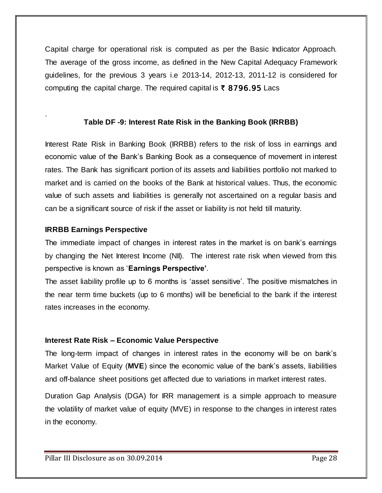Capital charge for operational risk is computed as per the Basic Indicator Approach. The average of the gross income, as defined in the New Capital Adequacy Framework guidelines, for the previous 3 years i.e 2013-14, 2012-13, 2011-12 is considered for computing the capital charge. The required capital is  $\bar{\tau}$  8796.95 Lacs

# **Table DF -9: Interest Rate Risk in the Banking Book (IRRBB)**

Interest Rate Risk in Banking Book (IRRBB) refers to the risk of loss in earnings and economic value of the Bank"s Banking Book as a consequence of movement in interest rates. The Bank has significant portion of its assets and liabilities portfolio not marked to market and is carried on the books of the Bank at historical values. Thus, the economic value of such assets and liabilities is generally not ascertained on a regular basis and can be a significant source of risk if the asset or liability is not held till maturity.

### **IRRBB Earnings Perspective**

.

The immediate impact of changes in interest rates in the market is on bank"s earnings by changing the Net Interest Income (NII). The interest rate risk when viewed from this perspective is known as "**Earnings Perspective'**.

The asset liability profile up to 6 months is 'asset sensitive'. The positive mismatches in the near term time buckets (up to 6 months) will be beneficial to the bank if the interest rates increases in the economy.

# **Interest Rate Risk – Economic Value Perspective**

The long-term impact of changes in interest rates in the economy will be on bank"s Market Value of Equity (**MVE**) since the economic value of the bank"s assets, liabilities and off-balance sheet positions get affected due to variations in market interest rates.

Duration Gap Analysis (DGA) for IRR management is a simple approach to measure the volatility of market value of equity (MVE) in response to the changes in interest rates in the economy.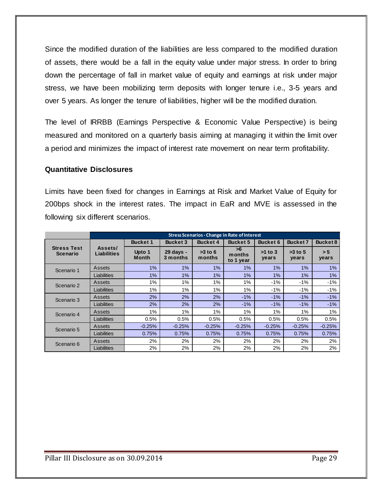Since the modified duration of the liabilities are less compared to the modified duration of assets, there would be a fall in the equity value under major stress. In order to bring down the percentage of fall in market value of equity and earnings at risk under major stress, we have been mobilizing term deposits with longer tenure i.e., 3-5 years and over 5 years. As longer the tenure of liabilities, higher will be the modified duration.

The level of IRRBB (Earnings Perspective & Economic Value Perspective) is being measured and monitored on a quarterly basis aiming at managing it within the limit over a period and minimizes the impact of interest rate movement on near term profitability.

#### **Quantitative Disclosures**

Limits have been fixed for changes in Earnings at Risk and Market Value of Equity for 200bps shock in the interest rates. The impact in EaR and MVE is assessed in the following six different scenarios.

|                                | <b>Stress Scenarios - Change in Rate of Interest</b> |                        |                       |                     |                           |                    |                    |              |
|--------------------------------|------------------------------------------------------|------------------------|-----------------------|---------------------|---------------------------|--------------------|--------------------|--------------|
|                                |                                                      | <b>Bucket 1</b>        | <b>Bucket 3</b>       | <b>Bucket 4</b>     | <b>Bucket 5</b>           | Bucket 6           | Bucket 7           | Bucket 8     |
| <b>Stress Test</b><br>Scenario | Assets/<br>Liabilities                               | Upto 1<br><b>Month</b> | 29 days -<br>3 months | $>3$ to 6<br>months | >6<br>months<br>to 1 year | $>1$ to 3<br>years | $>3$ to 5<br>years | > 5<br>years |
| Scenario 1                     | Assets                                               | 1%                     | $1\%$                 | 1%                  | 1%                        | $1\%$              | 1%                 | 1%           |
|                                | Liabilities                                          | 1%                     | 1%                    | 1%                  | 1%                        | 1%                 | 1%                 | 1%           |
| Scenario 2                     | Assets                                               | 1%                     | 1%                    | 1%                  | 1%                        | $-1%$              | $-1%$              | $-1%$        |
|                                | Liabilities                                          | 1%                     | 1%                    | 1%                  | 1%                        | $-1\%$             | $-1\%$             | $-1\%$       |
| Scenario 3                     | Assets                                               | 2%                     | 2%                    | 2%                  | $-1%$                     | $-1%$              | $-1%$              | $-1%$        |
|                                | Liabilities                                          | 2%                     | 2%                    | 2%                  | $-1\%$                    | $-1\%$             | $-1\%$             | $-1\%$       |
| Scenario 4                     | Assets                                               | 1%                     | 1%                    | 1%                  | 1%                        | 1%                 | 1%                 | 1%           |
|                                | Liabilities                                          | 0.5%                   | 0.5%                  | 0.5%                | 0.5%                      | 0.5%               | 0.5%               | 0.5%         |
| Scenario 5                     | Assets                                               | $-0.25%$               | $-0.25%$              | $-0.25%$            | $-0.25%$                  | $-0.25%$           | $-0.25%$           | $-0.25%$     |
|                                | Liabilities                                          | 0.75%                  | 0.75%                 | 0.75%               | 0.75%                     | 0.75%              | 0.75%              | 0.75%        |
| Scenario 6                     | Assets                                               | 2%                     | 2%                    | 2%                  | 2%                        | 2%                 | 2%                 | 2%           |
|                                | Liabilities                                          | 2%                     | 2%                    | 2%                  | 2%                        | 2%                 | 2%                 | 2%           |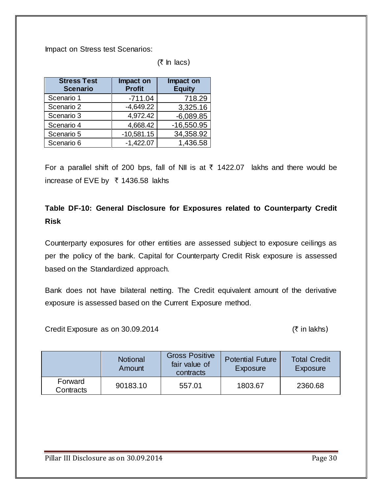Impact on Stress test Scenarios:

 $($ ₹ In lacs)

| <b>Stress Test</b><br><b>Scenario</b> | Impact on<br><b>Profit</b> | Impact on<br><b>Equity</b> |
|---------------------------------------|----------------------------|----------------------------|
| Scenario 1                            | $-711.04$                  | 718.29                     |
| Scenario 2                            | $-4,649.22$                | 3,325.16                   |
| Scenario 3                            | 4,972.42                   | $-6,089.85$                |
| Scenario 4                            | 4,668.42                   | $-16,550.95$               |
| Scenario 5                            | $-10,581.15$               | 34,358.92                  |
| Scenario 6                            | $-1,422.07$                | 1,436.58                   |

For a parallel shift of 200 bps, fall of NII is at  $\bar{\tau}$  1422.07 lakhs and there would be increase of EVE by ₹ 1436.58 lakhs

# **Table DF-10: General Disclosure for Exposures related to Counterparty Credit Risk**

Counterparty exposures for other entities are assessed subject to exposure ceilings as per the policy of the bank. Capital for Counterparty Credit Risk exposure is assessed based on the Standardized approach.

Bank does not have bilateral netting. The Credit equivalent amount of the derivative exposure is assessed based on the Current Exposure method.

Credit Exposure as on  $30.09.2014$  ( $\bar{\tau}$  in lakhs)

|                      | <b>Notional</b><br>Amount | <b>Gross Positive</b><br>fair value of<br>contracts | <b>Potential Future</b><br>Exposure | <b>Total Credit</b><br>Exposure |
|----------------------|---------------------------|-----------------------------------------------------|-------------------------------------|---------------------------------|
| Forward<br>Contracts | 90183.10                  | 557.01                                              | 1803.67                             | 2360.68                         |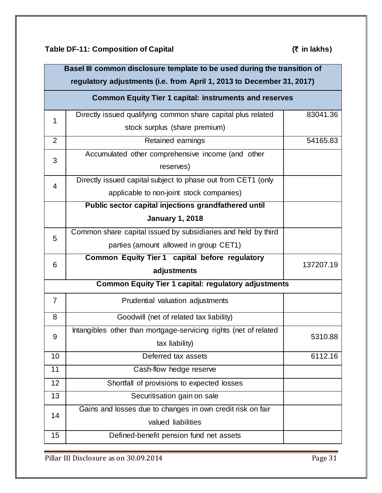**Table DF-11: Composition of Capital (**` **in lakhs**)

| Basel III common disclosure template to be used during the transition of<br>regulatory adjustments (i.e. from April 1, 2013 to December 31, 2017) |                                                                  |           |  |  |  |  |  |
|---------------------------------------------------------------------------------------------------------------------------------------------------|------------------------------------------------------------------|-----------|--|--|--|--|--|
|                                                                                                                                                   | <b>Common Equity Tier 1 capital: instruments and reserves</b>    |           |  |  |  |  |  |
| $\mathbf 1$                                                                                                                                       | Directly issued qualifying common share capital plus related     | 83041.36  |  |  |  |  |  |
|                                                                                                                                                   | stock surplus (share premium)                                    |           |  |  |  |  |  |
| $\overline{2}$                                                                                                                                    | Retained earnings                                                | 54165.83  |  |  |  |  |  |
| 3                                                                                                                                                 | Accumulated other comprehensive income (and other                |           |  |  |  |  |  |
|                                                                                                                                                   | reserves)                                                        |           |  |  |  |  |  |
| $\overline{4}$                                                                                                                                    | Directly issued capital subject to phase out from CET1 (only     |           |  |  |  |  |  |
|                                                                                                                                                   | applicable to non-joint stock companies)                         |           |  |  |  |  |  |
|                                                                                                                                                   | Public sector capital injections grandfathered until             |           |  |  |  |  |  |
|                                                                                                                                                   | <b>January 1, 2018</b>                                           |           |  |  |  |  |  |
| 5                                                                                                                                                 | Common share capital issued by subsidiaries and held by third    |           |  |  |  |  |  |
|                                                                                                                                                   | parties (amount allowed in group CET1)                           |           |  |  |  |  |  |
|                                                                                                                                                   | Common Equity Tier 1 capital before regulatory                   |           |  |  |  |  |  |
|                                                                                                                                                   |                                                                  |           |  |  |  |  |  |
| 6                                                                                                                                                 | adjustments                                                      | 137207.19 |  |  |  |  |  |
|                                                                                                                                                   | <b>Common Equity Tier 1 capital: regulatory adjustments</b>      |           |  |  |  |  |  |
| $\overline{7}$                                                                                                                                    | Prudential valuation adjustments                                 |           |  |  |  |  |  |
| 8                                                                                                                                                 | Goodwill (net of related tax liability)                          |           |  |  |  |  |  |
|                                                                                                                                                   | Intangibles other than mortgage-servicing rights (net of related |           |  |  |  |  |  |
| 9                                                                                                                                                 | tax liability)                                                   | 5310.88   |  |  |  |  |  |
| 10                                                                                                                                                | Deferred tax assets                                              | 6112.16   |  |  |  |  |  |
| 11                                                                                                                                                | Cash-flow hedge reserve                                          |           |  |  |  |  |  |
| 12                                                                                                                                                | Shortfall of provisions to expected losses                       |           |  |  |  |  |  |
| 13                                                                                                                                                | Securitisation gain on sale                                      |           |  |  |  |  |  |
|                                                                                                                                                   | Gains and losses due to changes in own credit risk on fair       |           |  |  |  |  |  |
| 14                                                                                                                                                | valued liabilities                                               |           |  |  |  |  |  |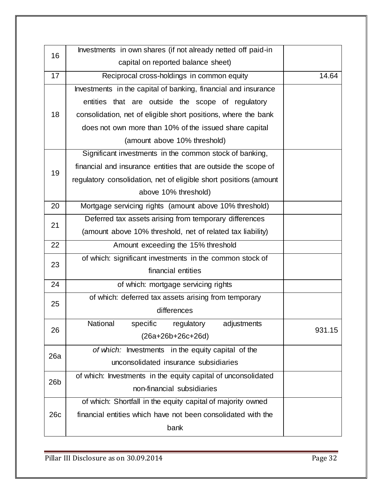| 16  | Investments in own shares (if not already netted off paid-in      |        |
|-----|-------------------------------------------------------------------|--------|
|     | capital on reported balance sheet)                                |        |
| 17  | Reciprocal cross-holdings in common equity                        | 14.64  |
|     | Investments in the capital of banking, financial and insurance    |        |
|     | entities that are outside the scope of regulatory                 |        |
| 18  | consolidation, net of eligible short positions, where the bank    |        |
|     | does not own more than 10% of the issued share capital            |        |
|     | (amount above 10% threshold)                                      |        |
|     | Significant investments in the common stock of banking,           |        |
| 19  | financial and insurance entities that are outside the scope of    |        |
|     | regulatory consolidation, net of eligible short positions (amount |        |
|     | above 10% threshold)                                              |        |
| 20  | Mortgage servicing rights (amount above 10% threshold)            |        |
| 21  | Deferred tax assets arising from temporary differences            |        |
|     | (amount above 10% threshold, net of related tax liability)        |        |
| 22  | Amount exceeding the 15% threshold                                |        |
| 23  | of which: significant investments in the common stock of          |        |
|     | financial entities                                                |        |
| 24  | of which: mortgage servicing rights                               |        |
| 25  | of which: deferred tax assets arising from temporary              |        |
|     | differences                                                       |        |
| 26  | National<br>specific<br>regulatory<br>adjustments                 | 931.15 |
|     | $(26a+26b+26c+26d)$                                               |        |
| 26a | of which: Investments in the equity capital of the                |        |
|     | unconsolidated insurance subsidiaries                             |        |
| 26b | of which: Investments in the equity capital of unconsolidated     |        |
|     | non-financial subsidiaries                                        |        |
|     | of which: Shortfall in the equity capital of majority owned       |        |
| 26c | financial entities which have not been consolidated with the      |        |
|     | bank                                                              |        |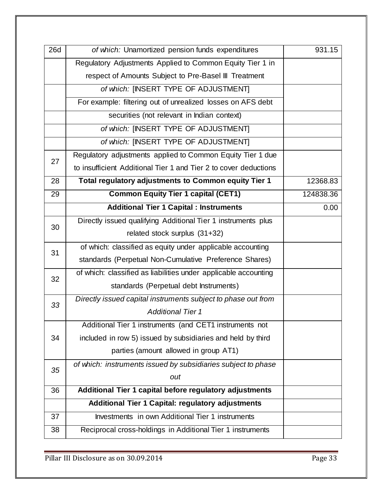| <b>26d</b> | of which: Unamortized pension funds expenditures                 | 931.15    |
|------------|------------------------------------------------------------------|-----------|
|            | Regulatory Adjustments Applied to Common Equity Tier 1 in        |           |
|            | respect of Amounts Subject to Pre-Basel III Treatment            |           |
|            | of which: [INSERT TYPE OF ADJUSTMENT]                            |           |
|            | For example: filtering out of unrealized losses on AFS debt      |           |
|            | securities (not relevant in Indian context)                      |           |
|            | of which: [INSERT TYPE OF ADJUSTMENT]                            |           |
|            | of which: [INSERT TYPE OF ADJUSTMENT]                            |           |
| 27         | Regulatory adjustments applied to Common Equity Tier 1 due       |           |
|            | to insufficient Additional Tier 1 and Tier 2 to cover deductions |           |
| 28         | Total regulatory adjustments to Common equity Tier 1             | 12368.83  |
| 29         | <b>Common Equity Tier 1 capital (CET1)</b>                       | 124838.36 |
|            | <b>Additional Tier 1 Capital : Instruments</b>                   | 0.00      |
| 30         | Directly issued qualifying Additional Tier 1 instruments plus    |           |
|            | related stock surplus (31+32)                                    |           |
| 31         | of which: classified as equity under applicable accounting       |           |
|            | standards (Perpetual Non-Cumulative Preference Shares)           |           |
| 32         | of which: classified as liabilities under applicable accounting  |           |
|            | standards (Perpetual debt Instruments)                           |           |
| 33         | Directly issued capital instruments subject to phase out from    |           |
|            | <b>Additional Tier 1</b>                                         |           |
|            | Additional Tier 1 instruments (and CET1 instruments not          |           |
| 34         | included in row 5) issued by subsidiaries and held by third      |           |
|            | parties (amount allowed in group AT1)                            |           |
| 35         | of which: instruments issued by subsidiaries subject to phase    |           |
|            | out                                                              |           |
| 36         | Additional Tier 1 capital before regulatory adjustments          |           |
|            | Additional Tier 1 Capital: regulatory adjustments                |           |
| 37         | Investments in own Additional Tier 1 instruments                 |           |
| 38         | Reciprocal cross-holdings in Additional Tier 1 instruments       |           |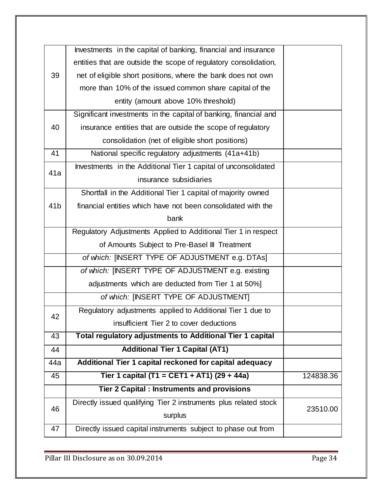|                 | Investments in the capital of banking, financial and insurance   |           |
|-----------------|------------------------------------------------------------------|-----------|
|                 | entities that are outside the scope of regulatory consolidation, |           |
| 39              | net of eligible short positions, where the bank does not own     |           |
|                 | more than 10% of the issued common share capital of the          |           |
|                 | entity (amount above 10% threshold)                              |           |
|                 | Significant investments in the capital of banking, financial and |           |
| 40              | insurance entities that are outside the scope of regulatory      |           |
|                 | consolidation (net of eligible short positions)                  |           |
| 41              | National specific regulatory adjustments (41a+41b)               |           |
| 41a             | Investments in the Additional Tier 1 capital of unconsolidated   |           |
|                 | insurance subsidiaries                                           |           |
|                 | Shortfall in the Additional Tier 1 capital of majority owned     |           |
| 41 <sub>b</sub> | financial entities which have not been consolidated with the     |           |
|                 | bank                                                             |           |
|                 | Regulatory Adjustments Applied to Additional Tier 1 in respect   |           |
|                 | of Amounts Subject to Pre-Basel III Treatment                    |           |
|                 | of which: [INSERT TYPE OF ADJUSTMENT e.g. DTAs]                  |           |
|                 | of which: [INSERT TYPE OF ADJUSTMENT e.g. existing               |           |
|                 | adjustments which are deducted from Tier 1 at 50%]               |           |
|                 | of which: [INSERT TYPE OF ADJUSTMENT]                            |           |
| 42              | Regulatory adjustments applied to Additional Tier 1 due to       |           |
|                 | insufficient Tier 2 to cover deductions                          |           |
| 43              | Total regulatory adjustments to Additional Tier 1 capital        |           |
| 44              | <b>Additional Tier 1 Capital (AT1)</b>                           |           |
| 44a             | Additional Tier 1 capital reckoned for capital adequacy          |           |
| 45              | Tier 1 capital (T1 = CET1 + AT1) (29 + 44a)                      | 124838.36 |
|                 | <b>Tier 2 Capital : Instruments and provisions</b>               |           |
| 46              | Directly issued qualifying Tier 2 instruments plus related stock | 23510.00  |
|                 | surplus                                                          |           |
| 47              | Directly issued capital instruments subject to phase out from    |           |
|                 |                                                                  |           |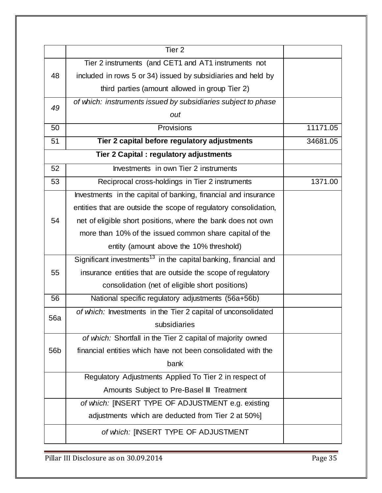|                 | Tier <sub>2</sub>                                                           |          |
|-----------------|-----------------------------------------------------------------------------|----------|
|                 | Tier 2 instruments (and CET1 and AT1 instruments not                        |          |
| 48              | included in rows 5 or 34) issued by subsidiaries and held by                |          |
|                 | third parties (amount allowed in group Tier 2)                              |          |
| 49              | of which: instruments issued by subsidiaries subject to phase               |          |
|                 | out                                                                         |          |
| 50              | Provisions                                                                  | 11171.05 |
| 51              | Tier 2 capital before regulatory adjustments                                | 34681.05 |
|                 | Tier 2 Capital: regulatory adjustments                                      |          |
| 52              | Investments in own Tier 2 instruments                                       |          |
| 53              | Reciprocal cross-holdings in Tier 2 instruments                             | 1371.00  |
|                 | Investments in the capital of banking, financial and insurance              |          |
|                 | entities that are outside the scope of regulatory consolidation,            |          |
| 54              | net of eligible short positions, where the bank does not own                |          |
|                 | more than 10% of the issued common share capital of the                     |          |
|                 | entity (amount above the 10% threshold)                                     |          |
|                 | Significant investments <sup>13</sup> in the capital banking, financial and |          |
| 55              | insurance entities that are outside the scope of regulatory                 |          |
|                 | consolidation (net of eligible short positions)                             |          |
| 56              | National specific regulatory adjustments (56a+56b)                          |          |
| 56a             | of which: Investments in the Tier 2 capital of unconsolidated               |          |
|                 | subsidiaries                                                                |          |
|                 | of which: Shortfall in the Tier 2 capital of majority owned                 |          |
| 56 <sub>b</sub> | financial entities which have not been consolidated with the                |          |
|                 | bank                                                                        |          |
|                 | Regulatory Adjustments Applied To Tier 2 in respect of                      |          |
|                 | Amounts Subject to Pre-Basel III Treatment                                  |          |
|                 | of which: [INSERT TYPE OF ADJUSTMENT e.g. existing                          |          |
|                 | adjustments which are deducted from Tier 2 at 50%]                          |          |
|                 | of which: [INSERT TYPE OF ADJUSTMENT                                        |          |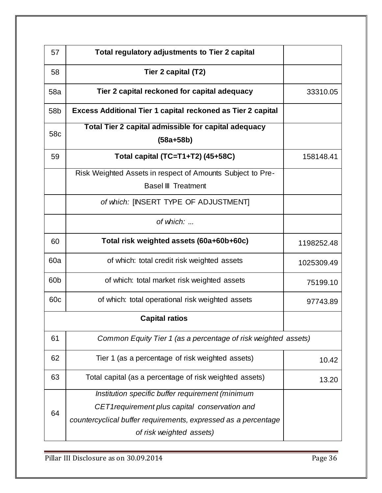| 57              | Total regulatory adjustments to Tier 2 capital                                                                                                                                                   |            |
|-----------------|--------------------------------------------------------------------------------------------------------------------------------------------------------------------------------------------------|------------|
| 58              | Tier 2 capital (T2)                                                                                                                                                                              |            |
| 58a             | Tier 2 capital reckoned for capital adequacy                                                                                                                                                     | 33310.05   |
| 58 <sub>b</sub> | <b>Excess Additional Tier 1 capital reckoned as Tier 2 capital</b>                                                                                                                               |            |
| 58c             | Total Tier 2 capital admissible for capital adequacy<br>$(58a + 58b)$                                                                                                                            |            |
| 59              | Total capital (TC=T1+T2) (45+58C)                                                                                                                                                                | 158148.41  |
|                 | Risk Weighted Assets in respect of Amounts Subject to Pre-<br><b>Basel III Treatment</b>                                                                                                         |            |
|                 | of which: [INSERT TYPE OF ADJUSTMENT]                                                                                                                                                            |            |
|                 | of which:                                                                                                                                                                                        |            |
| 60              | Total risk weighted assets (60a+60b+60c)                                                                                                                                                         | 1198252.48 |
| 60a             | of which: total credit risk weighted assets                                                                                                                                                      | 1025309.49 |
| 60b             | of which: total market risk weighted assets                                                                                                                                                      | 75199.10   |
| 60c             | of which: total operational risk weighted assets                                                                                                                                                 | 97743.89   |
|                 | <b>Capital ratios</b>                                                                                                                                                                            |            |
| 61              | Common Equity Tier 1 (as a percentage of risk weighted assets)                                                                                                                                   |            |
| 62              | Tier 1 (as a percentage of risk weighted assets)                                                                                                                                                 | 10.42      |
| 63              | Total capital (as a percentage of risk weighted assets)                                                                                                                                          | 13.20      |
| 64              | Institution specific buffer requirement (minimum<br>CET1 requirement plus capital conservation and<br>countercyclical buffer requirements, expressed as a percentage<br>of risk weighted assets) |            |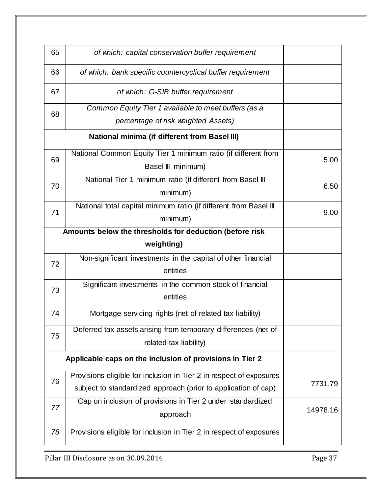| 65                                                       | of which: capital conservation buffer requirement                   |          |
|----------------------------------------------------------|---------------------------------------------------------------------|----------|
| 66                                                       | of which: bank specific countercyclical buffer requirement          |          |
| 67                                                       | of which: G-SIB buffer requirement                                  |          |
| 68                                                       | Common Equity Tier 1 available to meet buffers (as a                |          |
|                                                          | percentage of risk weighted Assets)                                 |          |
|                                                          | <b>National minima (if different from Basel III)</b>                |          |
| 69                                                       | National Common Equity Tier 1 minimum ratio (if different from      | 5.00     |
|                                                          | Basel III minimum)                                                  |          |
| 70                                                       | National Tier 1 minimum ratio (if different from Basel III          | 6.50     |
|                                                          | minimum)                                                            |          |
| 71                                                       | National total capital minimum ratio (if different from Basel III   | 9.00     |
|                                                          |                                                                     |          |
|                                                          | Amounts below the thresholds for deduction (before risk             |          |
|                                                          | weighting)                                                          |          |
| 72                                                       | Non-significant investments in the capital of other financial       |          |
|                                                          | entities                                                            |          |
| 73                                                       | Significant investments in the common stock of financial            |          |
|                                                          | entities                                                            |          |
| 74                                                       | Mortgage servicing rights (net of related tax liability)            |          |
| 75                                                       | Deferred tax assets arising from temporary differences (net of      |          |
|                                                          | related tax liability)                                              |          |
| Applicable caps on the inclusion of provisions in Tier 2 |                                                                     |          |
| 76                                                       | Provisions eligible for inclusion in Tier 2 in respect of exposures |          |
|                                                          | subject to standardized approach (prior to application of cap)      | 7731.79  |
| 77                                                       | Cap on inclusion of provisions in Tier 2 under standardized         |          |
|                                                          | approach                                                            | 14978.16 |
| 78                                                       | Provisions eligible for inclusion in Tier 2 in respect of exposures |          |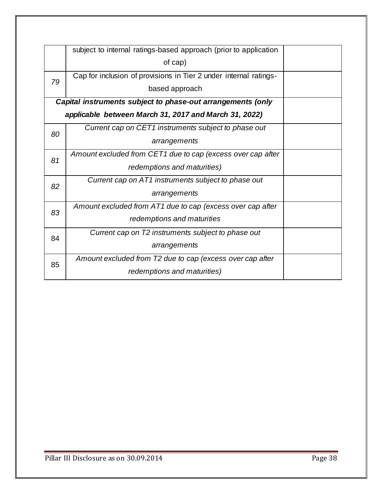|    | subject to internal ratings-based approach (prior to application  |  |
|----|-------------------------------------------------------------------|--|
|    | of cap)                                                           |  |
| 79 | Cap for inclusion of provisions in Tier 2 under internal ratings- |  |
|    | based approach                                                    |  |
|    | Capital instruments subject to phase-out arrangements (only       |  |
|    | applicable between March 31, 2017 and March 31, 2022)             |  |
| 80 | Current cap on CET1 instruments subject to phase out              |  |
|    | arrangements                                                      |  |
| 81 | Amount excluded from CET1 due to cap (excess over cap after       |  |
|    | redemptions and maturities)                                       |  |
| 82 | Current cap on AT1 instruments subject to phase out               |  |
|    | arrangements                                                      |  |
| 83 | Amount excluded from AT1 due to cap (excess over cap after        |  |
|    | redemptions and maturities                                        |  |
| 84 | Current cap on T2 instruments subject to phase out                |  |
|    | arrangements                                                      |  |
| 85 | Amount excluded from T2 due to cap (excess over cap after         |  |
|    | redemptions and maturities)                                       |  |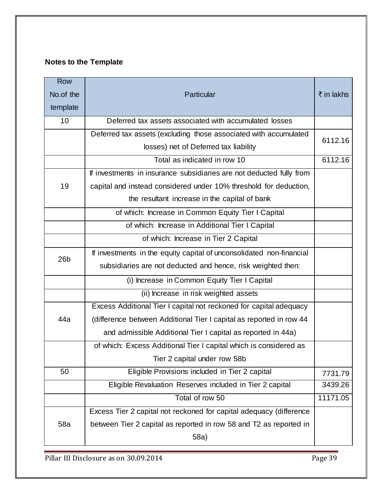# **Notes to the Template**

| <b>Row</b><br>No.of the<br>template | Particular                                                           | ₹ in lakhs |  |  |  |  |  |
|-------------------------------------|----------------------------------------------------------------------|------------|--|--|--|--|--|
| 10                                  | Deferred tax assets associated with accumulated losses               |            |  |  |  |  |  |
|                                     | Deferred tax assets (excluding those associated with accumulated     | 6112.16    |  |  |  |  |  |
|                                     | losses) net of Deferred tax liability                                |            |  |  |  |  |  |
|                                     | Total as indicated in row 10                                         | 6112.16    |  |  |  |  |  |
|                                     | If investments in insurance subsidiaries are not deducted fully from |            |  |  |  |  |  |
| 19                                  | capital and instead considered under 10% threshold for deduction,    |            |  |  |  |  |  |
|                                     | the resultant increase in the capital of bank                        |            |  |  |  |  |  |
|                                     | of which: Increase in Common Equity Tier I Capital                   |            |  |  |  |  |  |
|                                     | of which: Increase in Additional Tier I Capital                      |            |  |  |  |  |  |
|                                     | of which: Increase in Tier 2 Capital                                 |            |  |  |  |  |  |
| 26 <sub>b</sub>                     | If investments in the equity capital of unconsolidated non-financial |            |  |  |  |  |  |
|                                     | subsidiaries are not deducted and hence, risk weighted then:         |            |  |  |  |  |  |
|                                     | (i) Increase in Common Equity Tier I Capital                         |            |  |  |  |  |  |
|                                     | (ii) Increase in risk weighted assets                                |            |  |  |  |  |  |
|                                     | Excess Additional Tier I capital not reckoned for capital adequacy   |            |  |  |  |  |  |
| 44a                                 | (difference between Additional Tier I capital as reported in row 44  |            |  |  |  |  |  |
|                                     | and admissible Additional Tier I capital as reported in 44a)         |            |  |  |  |  |  |
|                                     | of which: Excess Additional Tier I capital which is considered as    |            |  |  |  |  |  |
|                                     | Tier 2 capital under row 58b                                         |            |  |  |  |  |  |
| 50                                  | Eligible Provisions included in Tier 2 capital                       |            |  |  |  |  |  |
|                                     | Eligible Revaluation Reserves included in Tier 2 capital             | 3439.26    |  |  |  |  |  |
|                                     | Total of row 50<br>11171.05                                          |            |  |  |  |  |  |
|                                     | Excess Tier 2 capital not reckoned for capital adequacy (difference  |            |  |  |  |  |  |
| 58a                                 | between Tier 2 capital as reported in row 58 and T2 as reported in   |            |  |  |  |  |  |
|                                     | 58a)                                                                 |            |  |  |  |  |  |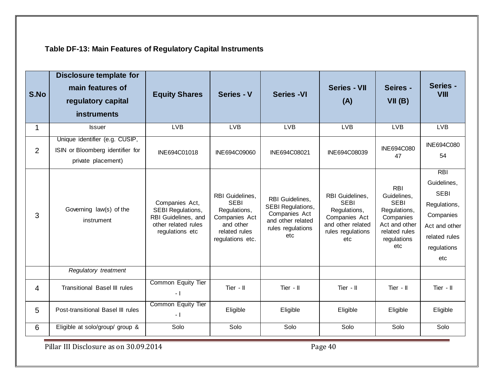| S.No           | <b>Disclosure template for</b><br>main features of<br>regulatory capital<br><b>instruments</b> | <b>Equity Shares</b>                                                                                        | Series - V                                                                                                        | <b>Series -VI</b>                                                                                       | <b>Series - VII</b><br>(A)                                                                                       | Seires -<br>VII(B)                                                                                                            | Series -<br><b>VIII</b>                                                                                                       |
|----------------|------------------------------------------------------------------------------------------------|-------------------------------------------------------------------------------------------------------------|-------------------------------------------------------------------------------------------------------------------|---------------------------------------------------------------------------------------------------------|------------------------------------------------------------------------------------------------------------------|-------------------------------------------------------------------------------------------------------------------------------|-------------------------------------------------------------------------------------------------------------------------------|
| 1              | <b>Issuer</b>                                                                                  | <b>LVB</b>                                                                                                  | <b>LVB</b>                                                                                                        | <b>LVB</b>                                                                                              | <b>LVB</b>                                                                                                       | <b>LVB</b>                                                                                                                    | <b>LVB</b>                                                                                                                    |
| $\overline{2}$ | Unique identifier (e.g. CUSIP,<br>ISIN or Bloomberg identifier for<br>private placement)       | INE694C01018                                                                                                | INE694C09060                                                                                                      | INE694C08021                                                                                            | INE694C08039                                                                                                     | INE694C080<br>47                                                                                                              | <b>INE694C080</b><br>54                                                                                                       |
| 3              | Governing law(s) of the<br>instrument                                                          | Companies Act,<br><b>SEBI Regulations,</b><br>RBI Guidelines, and<br>other related rules<br>regulations etc | RBI Guidelines,<br><b>SEBI</b><br>Regulations,<br>Companies Act<br>and other<br>related rules<br>regulations etc. | RBI Guidelines,<br>SEBI Regulations,<br>Companies Act<br>and other related<br>rules regulations<br>etc. | RBI Guidelines,<br><b>SEBI</b><br>Regulations,<br>Companies Act<br>and other related<br>rules regulations<br>etc | <b>RBI</b><br>Guidelines,<br><b>SEBI</b><br>Regulations,<br>Companies<br>Act and other<br>related rules<br>regulations<br>etc | <b>RBI</b><br>Guidelines,<br><b>SEBI</b><br>Regulations,<br>Companies<br>Act and other<br>related rules<br>regulations<br>etc |
|                | Regulatory treatment                                                                           |                                                                                                             |                                                                                                                   |                                                                                                         |                                                                                                                  |                                                                                                                               |                                                                                                                               |
| 4              | <b>Transitional Basel III rules</b>                                                            | Common Equity Tier<br>$-1$                                                                                  | Tier - II                                                                                                         | Tier - II                                                                                               | Tier - II                                                                                                        | Tier $-II$                                                                                                                    | Tier - II                                                                                                                     |
| 5              | Post-transitional Basel III rules                                                              | <b>Common Equity Tier</b><br>$-1$                                                                           | Eligible                                                                                                          | Eligible                                                                                                | Eligible                                                                                                         | Eligible                                                                                                                      | Eligible                                                                                                                      |
| 6              | Eligible at solo/group/ group &                                                                | Solo                                                                                                        | Solo                                                                                                              | Solo                                                                                                    | Solo                                                                                                             | Solo                                                                                                                          | Solo                                                                                                                          |

**Table DF-13: Main Features of Regulatory Capital Instruments**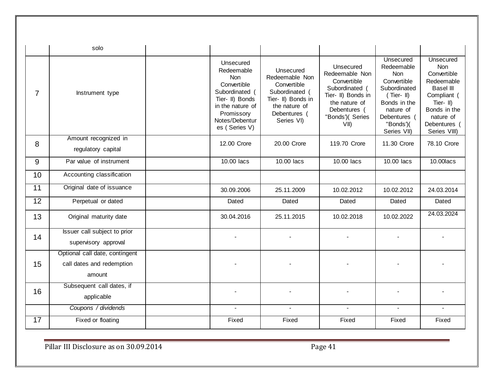|                | solo                                                                  |                                                                                                                                                                |                                                                                                                                   |                                                                                                                                                |                                                                                                                                                             |                                                                                                                                                                           |
|----------------|-----------------------------------------------------------------------|----------------------------------------------------------------------------------------------------------------------------------------------------------------|-----------------------------------------------------------------------------------------------------------------------------------|------------------------------------------------------------------------------------------------------------------------------------------------|-------------------------------------------------------------------------------------------------------------------------------------------------------------|---------------------------------------------------------------------------------------------------------------------------------------------------------------------------|
| $\overline{7}$ | Instrument type                                                       | Unsecured<br>Redeemable<br><b>Non</b><br>Convertible<br>Subordinated (<br>Tier- II) Bonds<br>in the nature of<br>Promissory<br>Notes/Debentur<br>es (Series V) | Unsecured<br>Redeemable Non<br>Convertible<br>Subordinated (<br>Tier- II) Bonds in<br>the nature of<br>Debentures (<br>Series VI) | Unsecured<br>Redeemable Non<br>Convertible<br>Subordinated (<br>Tier- II) Bonds in<br>the nature of<br>Debentures (<br>"Bonds')( Series<br>VII | Unsecured<br>Redeemable<br><b>Non</b><br>Convertible<br>Subordinated<br>$(Tier-I)$<br>Bonds in the<br>nature of<br>Debentures (<br>"Bonds")(<br>Series VII) | Unsecured<br><b>Non</b><br>Convertible<br>Redeemable<br><b>Basel III</b><br>Compliant (<br>Tier- $\  \$<br>Bonds in the<br>nature of<br><b>Debentures</b><br>Series VIII) |
| 8              | Amount recognized in<br>regulatory capital                            | 12.00 Crore                                                                                                                                                    | 20.00 Crore                                                                                                                       | 119.70 Crore                                                                                                                                   | 11.30 Crore                                                                                                                                                 | 78.10 Crore                                                                                                                                                               |
| 9              | Par value of instrument                                               | 10.00 lacs                                                                                                                                                     | 10.00 lacs                                                                                                                        | 10.00 lacs                                                                                                                                     | 10.00 lacs                                                                                                                                                  | 10.00 lacs                                                                                                                                                                |
| 10             | Accounting classification                                             |                                                                                                                                                                |                                                                                                                                   |                                                                                                                                                |                                                                                                                                                             |                                                                                                                                                                           |
| 11             | Original date of issuance                                             | 30.09.2006                                                                                                                                                     | 25.11.2009                                                                                                                        | 10.02.2012                                                                                                                                     | 10.02.2012                                                                                                                                                  | 24.03.2014                                                                                                                                                                |
| 12             | Perpetual or dated                                                    | Dated                                                                                                                                                          | Dated                                                                                                                             | Dated                                                                                                                                          | Dated                                                                                                                                                       | Dated                                                                                                                                                                     |
| 13             | Original maturity date                                                | 30.04.2016                                                                                                                                                     | 25.11.2015                                                                                                                        | 10.02.2018                                                                                                                                     | 10.02.2022                                                                                                                                                  | 24.03.2024                                                                                                                                                                |
| 14             | Issuer call subject to prior<br>supervisory approval                  |                                                                                                                                                                |                                                                                                                                   |                                                                                                                                                |                                                                                                                                                             |                                                                                                                                                                           |
| 15             | Optional call date, contingent<br>call dates and redemption<br>amount |                                                                                                                                                                |                                                                                                                                   |                                                                                                                                                |                                                                                                                                                             |                                                                                                                                                                           |
| 16             | Subsequent call dates, if<br>applicable                               |                                                                                                                                                                |                                                                                                                                   |                                                                                                                                                |                                                                                                                                                             |                                                                                                                                                                           |
|                | Coupons / dividends                                                   | $\overline{a}$                                                                                                                                                 | $\blacksquare$                                                                                                                    | $\blacksquare$                                                                                                                                 |                                                                                                                                                             |                                                                                                                                                                           |
| 17             | Fixed or floating                                                     | Fixed                                                                                                                                                          | Fixed                                                                                                                             | Fixed                                                                                                                                          | Fixed                                                                                                                                                       | Fixed                                                                                                                                                                     |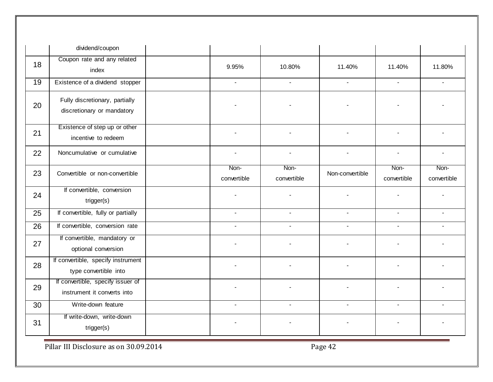|    | dividend/coupon                                                  |                     |                          |                 |                     |                          |
|----|------------------------------------------------------------------|---------------------|--------------------------|-----------------|---------------------|--------------------------|
| 18 | Coupon rate and any related<br>index                             | 9.95%               | 10.80%                   | 11.40%          | 11.40%              | 11.80%                   |
| 19 | Existence of a dividend stopper                                  |                     | $\sim$                   | $\overline{a}$  | $\overline{a}$      | $\overline{a}$           |
| 20 | Fully discretionary, partially<br>discretionary or mandatory     |                     |                          |                 |                     |                          |
| 21 | Existence of step up or other<br>incentive to redeem             |                     | $\blacksquare$           |                 |                     |                          |
| 22 | Noncumulative or cumulative                                      | $\blacksquare$      | $\overline{\phantom{a}}$ | $\blacksquare$  | $\mathbf{r}$        |                          |
| 23 | Convertible or non-convertible                                   | Non-<br>convertible | Non-<br>convertible      | Non-convertible | Non-<br>convertible | Non-<br>convertible      |
| 24 | If convertible, conversion<br>trigger(s)                         |                     |                          |                 |                     |                          |
| 25 | If convertible, fully or partially                               | $\blacksquare$      | $\blacksquare$           | $\blacksquare$  | $\blacksquare$      | $\overline{\phantom{a}}$ |
| 26 | If convertible, conversion rate                                  | $\blacksquare$      | $\sim$                   | $\blacksquare$  | $\sim$              | $\blacksquare$           |
| 27 | If convertible, mandatory or<br>optional conversion              |                     |                          |                 |                     |                          |
| 28 | If convertible, specify instrument<br>type convertible into      |                     |                          |                 |                     |                          |
| 29 | If convertible, specify issuer of<br>instrument it converts into |                     |                          |                 |                     |                          |
| 30 | Write-down feature                                               | $\overline{a}$      | $\blacksquare$           | $\sim$          | $\sim$              |                          |
| 31 | If write-down, write-down<br>trigger(s)                          |                     |                          |                 |                     |                          |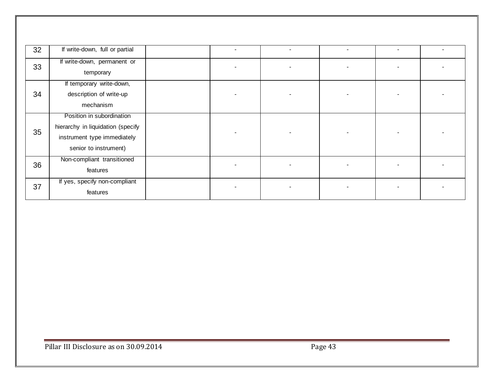| 32 | If write-down, full or partial                                                                                         |  |   |  |
|----|------------------------------------------------------------------------------------------------------------------------|--|---|--|
| 33 | If write-down, permanent or<br>temporary                                                                               |  |   |  |
| 34 | If temporary write-down,<br>description of write-up<br>mechanism                                                       |  |   |  |
| 35 | Position in subordination<br>hierarchy in liquidation (specify<br>instrument type immediately<br>senior to instrument) |  |   |  |
| 36 | Non-compliant transitioned<br>features                                                                                 |  |   |  |
| 37 | If yes, specify non-compliant<br>features                                                                              |  | - |  |